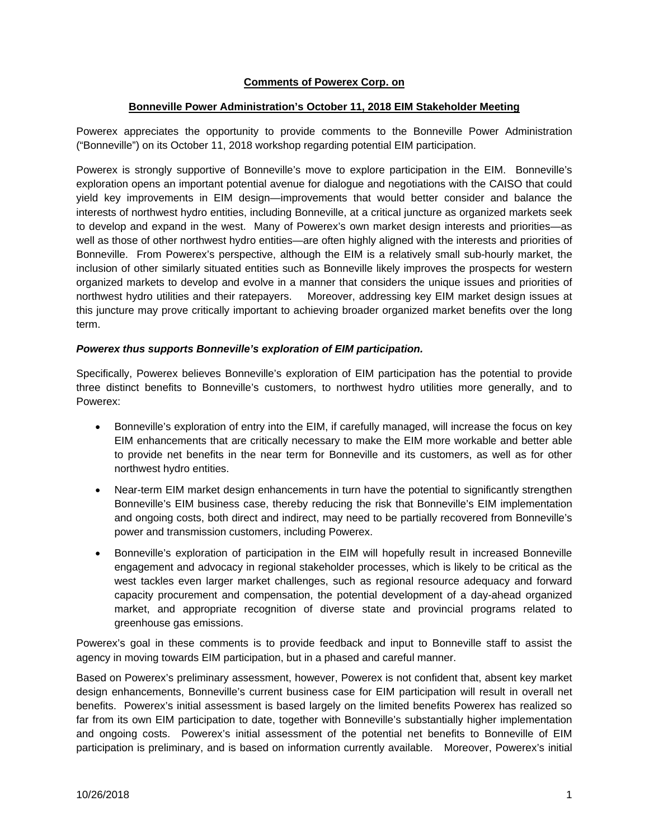### **Comments of Powerex Corp. on**

#### **Bonneville Power Administration's October 11, 2018 EIM Stakeholder Meeting**

Powerex appreciates the opportunity to provide comments to the Bonneville Power Administration ("Bonneville") on its October 11, 2018 workshop regarding potential EIM participation.

Powerex is strongly supportive of Bonneville's move to explore participation in the EIM. Bonneville's exploration opens an important potential avenue for dialogue and negotiations with the CAISO that could yield key improvements in EIM design—improvements that would better consider and balance the interests of northwest hydro entities, including Bonneville, at a critical juncture as organized markets seek to develop and expand in the west. Many of Powerex's own market design interests and priorities—as well as those of other northwest hydro entities—are often highly aligned with the interests and priorities of Bonneville. From Powerex's perspective, although the EIM is a relatively small sub-hourly market, the inclusion of other similarly situated entities such as Bonneville likely improves the prospects for western organized markets to develop and evolve in a manner that considers the unique issues and priorities of northwest hydro utilities and their ratepayers. Moreover, addressing key EIM market design issues at this juncture may prove critically important to achieving broader organized market benefits over the long term.

#### *Powerex thus supports Bonneville's exploration of EIM participation.*

Specifically, Powerex believes Bonneville's exploration of EIM participation has the potential to provide three distinct benefits to Bonneville's customers, to northwest hydro utilities more generally, and to Powerex:

- Bonneville's exploration of entry into the EIM, if carefully managed, will increase the focus on key EIM enhancements that are critically necessary to make the EIM more workable and better able to provide net benefits in the near term for Bonneville and its customers, as well as for other northwest hydro entities.
- Near-term EIM market design enhancements in turn have the potential to significantly strengthen Bonneville's EIM business case, thereby reducing the risk that Bonneville's EIM implementation and ongoing costs, both direct and indirect, may need to be partially recovered from Bonneville's power and transmission customers, including Powerex.
- Bonneville's exploration of participation in the EIM will hopefully result in increased Bonneville engagement and advocacy in regional stakeholder processes, which is likely to be critical as the west tackles even larger market challenges, such as regional resource adequacy and forward capacity procurement and compensation, the potential development of a day-ahead organized market, and appropriate recognition of diverse state and provincial programs related to greenhouse gas emissions.

Powerex's goal in these comments is to provide feedback and input to Bonneville staff to assist the agency in moving towards EIM participation, but in a phased and careful manner.

Based on Powerex's preliminary assessment, however, Powerex is not confident that, absent key market design enhancements, Bonneville's current business case for EIM participation will result in overall net benefits. Powerex's initial assessment is based largely on the limited benefits Powerex has realized so far from its own EIM participation to date, together with Bonneville's substantially higher implementation and ongoing costs. Powerex's initial assessment of the potential net benefits to Bonneville of EIM participation is preliminary, and is based on information currently available. Moreover, Powerex's initial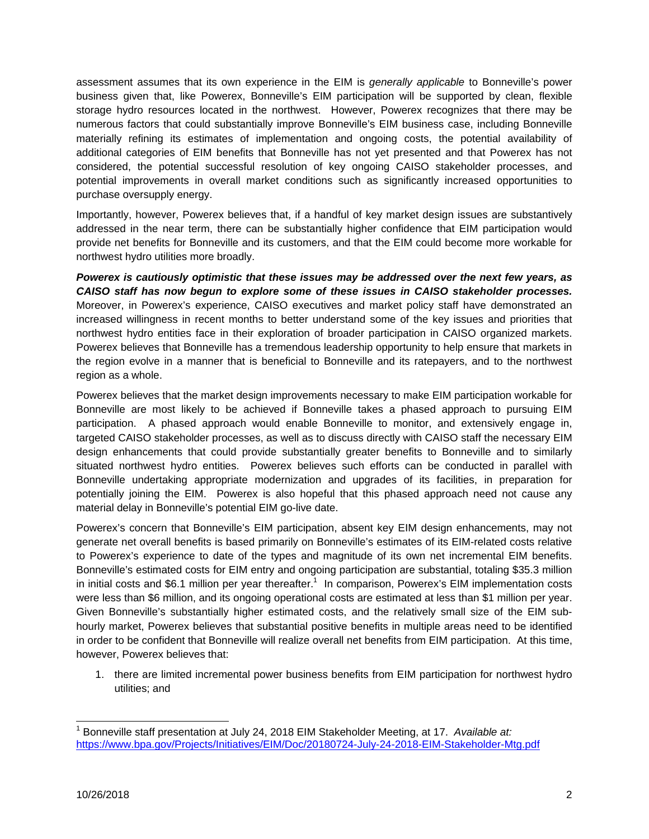assessment assumes that its own experience in the EIM is *generally applicable* to Bonneville's power business given that, like Powerex, Bonneville's EIM participation will be supported by clean, flexible storage hydro resources located in the northwest. However, Powerex recognizes that there may be numerous factors that could substantially improve Bonneville's EIM business case, including Bonneville materially refining its estimates of implementation and ongoing costs, the potential availability of additional categories of EIM benefits that Bonneville has not yet presented and that Powerex has not considered, the potential successful resolution of key ongoing CAISO stakeholder processes, and potential improvements in overall market conditions such as significantly increased opportunities to purchase oversupply energy.

Importantly, however, Powerex believes that, if a handful of key market design issues are substantively addressed in the near term, there can be substantially higher confidence that EIM participation would provide net benefits for Bonneville and its customers, and that the EIM could become more workable for northwest hydro utilities more broadly.

*Powerex is cautiously optimistic that these issues may be addressed over the next few years, as CAISO staff has now begun to explore some of these issues in CAISO stakeholder processes.*  Moreover, in Powerex's experience, CAISO executives and market policy staff have demonstrated an increased willingness in recent months to better understand some of the key issues and priorities that northwest hydro entities face in their exploration of broader participation in CAISO organized markets. Powerex believes that Bonneville has a tremendous leadership opportunity to help ensure that markets in the region evolve in a manner that is beneficial to Bonneville and its ratepayers, and to the northwest region as a whole.

Powerex believes that the market design improvements necessary to make EIM participation workable for Bonneville are most likely to be achieved if Bonneville takes a phased approach to pursuing EIM participation. A phased approach would enable Bonneville to monitor, and extensively engage in, targeted CAISO stakeholder processes, as well as to discuss directly with CAISO staff the necessary EIM design enhancements that could provide substantially greater benefits to Bonneville and to similarly situated northwest hydro entities. Powerex believes such efforts can be conducted in parallel with Bonneville undertaking appropriate modernization and upgrades of its facilities, in preparation for potentially joining the EIM. Powerex is also hopeful that this phased approach need not cause any material delay in Bonneville's potential EIM go-live date.

Powerex's concern that Bonneville's EIM participation, absent key EIM design enhancements, may not generate net overall benefits is based primarily on Bonneville's estimates of its EIM-related costs relative to Powerex's experience to date of the types and magnitude of its own net incremental EIM benefits. Bonneville's estimated costs for EIM entry and ongoing participation are substantial, totaling \$35.3 million in initial costs and \$6.1 million per year thereafter.<sup>1</sup> In comparison, Powerex's EIM implementation costs were less than \$6 million, and its ongoing operational costs are estimated at less than \$1 million per year. Given Bonneville's substantially higher estimated costs, and the relatively small size of the EIM subhourly market, Powerex believes that substantial positive benefits in multiple areas need to be identified in order to be confident that Bonneville will realize overall net benefits from EIM participation. At this time, however, Powerex believes that:

1. there are limited incremental power business benefits from EIM participation for northwest hydro utilities; and

l

<sup>&</sup>lt;sup>1</sup> Bonneville staff presentation at July 24, 2018 EIM Stakeholder Meeting, at 17. *Available at:* https://www.bpa.gov/Projects/Initiatives/EIM/Doc/20180724-July-24-2018-EIM-Stakeholder-Mtg.pdf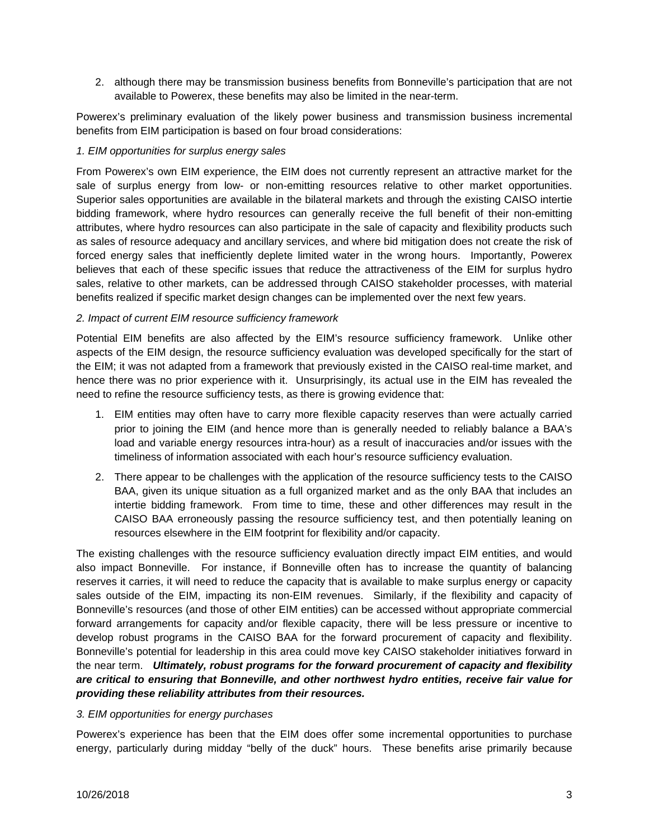2. although there may be transmission business benefits from Bonneville's participation that are not available to Powerex, these benefits may also be limited in the near-term.

Powerex's preliminary evaluation of the likely power business and transmission business incremental benefits from EIM participation is based on four broad considerations:

### *1. EIM opportunities for surplus energy sales*

From Powerex's own EIM experience, the EIM does not currently represent an attractive market for the sale of surplus energy from low- or non-emitting resources relative to other market opportunities. Superior sales opportunities are available in the bilateral markets and through the existing CAISO intertie bidding framework, where hydro resources can generally receive the full benefit of their non-emitting attributes, where hydro resources can also participate in the sale of capacity and flexibility products such as sales of resource adequacy and ancillary services, and where bid mitigation does not create the risk of forced energy sales that inefficiently deplete limited water in the wrong hours. Importantly, Powerex believes that each of these specific issues that reduce the attractiveness of the EIM for surplus hydro sales, relative to other markets, can be addressed through CAISO stakeholder processes, with material benefits realized if specific market design changes can be implemented over the next few years.

### *2. Impact of current EIM resource sufficiency framework*

Potential EIM benefits are also affected by the EIM's resource sufficiency framework. Unlike other aspects of the EIM design, the resource sufficiency evaluation was developed specifically for the start of the EIM; it was not adapted from a framework that previously existed in the CAISO real-time market, and hence there was no prior experience with it. Unsurprisingly, its actual use in the EIM has revealed the need to refine the resource sufficiency tests, as there is growing evidence that:

- 1. EIM entities may often have to carry more flexible capacity reserves than were actually carried prior to joining the EIM (and hence more than is generally needed to reliably balance a BAA's load and variable energy resources intra-hour) as a result of inaccuracies and/or issues with the timeliness of information associated with each hour's resource sufficiency evaluation.
- 2. There appear to be challenges with the application of the resource sufficiency tests to the CAISO BAA, given its unique situation as a full organized market and as the only BAA that includes an intertie bidding framework. From time to time, these and other differences may result in the CAISO BAA erroneously passing the resource sufficiency test, and then potentially leaning on resources elsewhere in the EIM footprint for flexibility and/or capacity.

The existing challenges with the resource sufficiency evaluation directly impact EIM entities, and would also impact Bonneville. For instance, if Bonneville often has to increase the quantity of balancing reserves it carries, it will need to reduce the capacity that is available to make surplus energy or capacity sales outside of the EIM, impacting its non-EIM revenues. Similarly, if the flexibility and capacity of Bonneville's resources (and those of other EIM entities) can be accessed without appropriate commercial forward arrangements for capacity and/or flexible capacity, there will be less pressure or incentive to develop robust programs in the CAISO BAA for the forward procurement of capacity and flexibility. Bonneville's potential for leadership in this area could move key CAISO stakeholder initiatives forward in the near term. *Ultimately, robust programs for the forward procurement of capacity and flexibility are critical to ensuring that Bonneville, and other northwest hydro entities, receive fair value for providing these reliability attributes from their resources.* 

#### *3. EIM opportunities for energy purchases*

Powerex's experience has been that the EIM does offer some incremental opportunities to purchase energy, particularly during midday "belly of the duck" hours. These benefits arise primarily because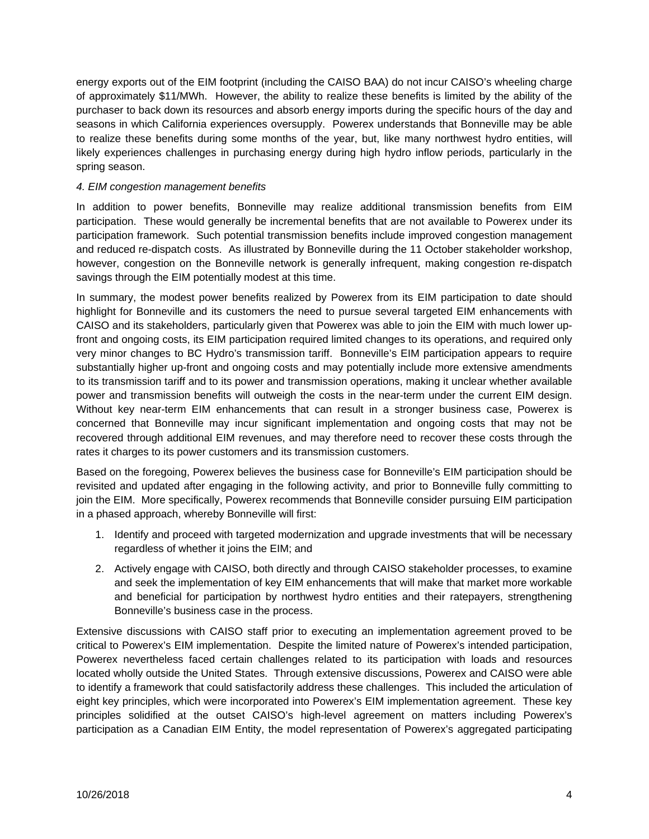energy exports out of the EIM footprint (including the CAISO BAA) do not incur CAISO's wheeling charge of approximately \$11/MWh. However, the ability to realize these benefits is limited by the ability of the purchaser to back down its resources and absorb energy imports during the specific hours of the day and seasons in which California experiences oversupply. Powerex understands that Bonneville may be able to realize these benefits during some months of the year, but, like many northwest hydro entities, will likely experiences challenges in purchasing energy during high hydro inflow periods, particularly in the spring season.

## *4. EIM congestion management benefits*

In addition to power benefits, Bonneville may realize additional transmission benefits from EIM participation. These would generally be incremental benefits that are not available to Powerex under its participation framework. Such potential transmission benefits include improved congestion management and reduced re-dispatch costs. As illustrated by Bonneville during the 11 October stakeholder workshop, however, congestion on the Bonneville network is generally infrequent, making congestion re-dispatch savings through the EIM potentially modest at this time.

In summary, the modest power benefits realized by Powerex from its EIM participation to date should highlight for Bonneville and its customers the need to pursue several targeted EIM enhancements with CAISO and its stakeholders, particularly given that Powerex was able to join the EIM with much lower upfront and ongoing costs, its EIM participation required limited changes to its operations, and required only very minor changes to BC Hydro's transmission tariff. Bonneville's EIM participation appears to require substantially higher up-front and ongoing costs and may potentially include more extensive amendments to its transmission tariff and to its power and transmission operations, making it unclear whether available power and transmission benefits will outweigh the costs in the near-term under the current EIM design. Without key near-term EIM enhancements that can result in a stronger business case, Powerex is concerned that Bonneville may incur significant implementation and ongoing costs that may not be recovered through additional EIM revenues, and may therefore need to recover these costs through the rates it charges to its power customers and its transmission customers.

Based on the foregoing, Powerex believes the business case for Bonneville's EIM participation should be revisited and updated after engaging in the following activity, and prior to Bonneville fully committing to join the EIM. More specifically, Powerex recommends that Bonneville consider pursuing EIM participation in a phased approach, whereby Bonneville will first:

- 1. Identify and proceed with targeted modernization and upgrade investments that will be necessary regardless of whether it joins the EIM; and
- 2. Actively engage with CAISO, both directly and through CAISO stakeholder processes, to examine and seek the implementation of key EIM enhancements that will make that market more workable and beneficial for participation by northwest hydro entities and their ratepayers, strengthening Bonneville's business case in the process.

Extensive discussions with CAISO staff prior to executing an implementation agreement proved to be critical to Powerex's EIM implementation. Despite the limited nature of Powerex's intended participation, Powerex nevertheless faced certain challenges related to its participation with loads and resources located wholly outside the United States. Through extensive discussions, Powerex and CAISO were able to identify a framework that could satisfactorily address these challenges. This included the articulation of eight key principles, which were incorporated into Powerex's EIM implementation agreement. These key principles solidified at the outset CAISO's high-level agreement on matters including Powerex's participation as a Canadian EIM Entity, the model representation of Powerex's aggregated participating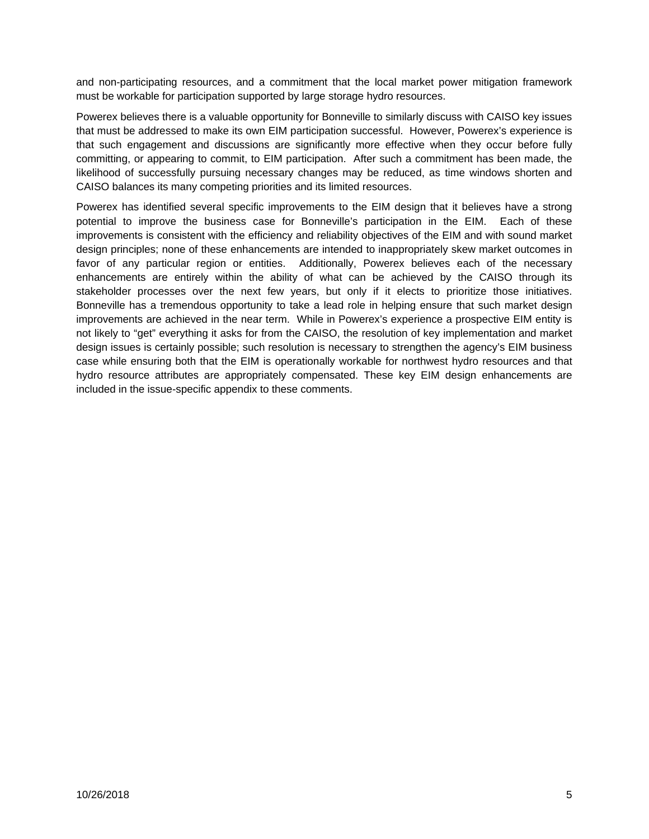and non-participating resources, and a commitment that the local market power mitigation framework must be workable for participation supported by large storage hydro resources.

Powerex believes there is a valuable opportunity for Bonneville to similarly discuss with CAISO key issues that must be addressed to make its own EIM participation successful. However, Powerex's experience is that such engagement and discussions are significantly more effective when they occur before fully committing, or appearing to commit, to EIM participation. After such a commitment has been made, the likelihood of successfully pursuing necessary changes may be reduced, as time windows shorten and CAISO balances its many competing priorities and its limited resources.

Powerex has identified several specific improvements to the EIM design that it believes have a strong potential to improve the business case for Bonneville's participation in the EIM. Each of these improvements is consistent with the efficiency and reliability objectives of the EIM and with sound market design principles; none of these enhancements are intended to inappropriately skew market outcomes in favor of any particular region or entities. Additionally, Powerex believes each of the necessary enhancements are entirely within the ability of what can be achieved by the CAISO through its stakeholder processes over the next few years, but only if it elects to prioritize those initiatives. Bonneville has a tremendous opportunity to take a lead role in helping ensure that such market design improvements are achieved in the near term. While in Powerex's experience a prospective EIM entity is not likely to "get" everything it asks for from the CAISO, the resolution of key implementation and market design issues is certainly possible; such resolution is necessary to strengthen the agency's EIM business case while ensuring both that the EIM is operationally workable for northwest hydro resources and that hydro resource attributes are appropriately compensated. These key EIM design enhancements are included in the issue-specific appendix to these comments.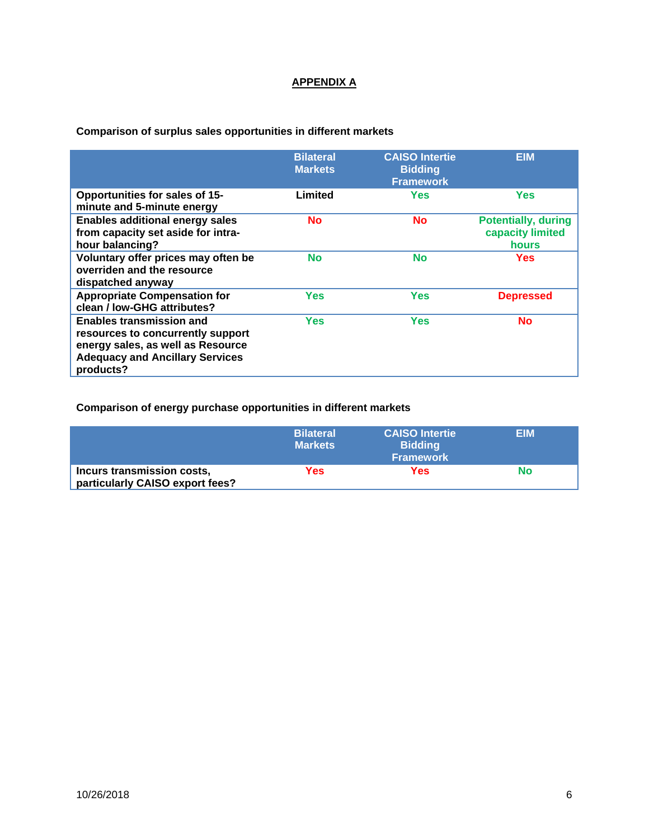# **APPENDIX A**

**Comparison of surplus sales opportunities in different markets** 

|                                                                                                                                                                  | <b>Bilateral</b><br><b>Markets</b> | <b>CAISO Intertie</b><br><b>Bidding</b><br><b>Framework</b> | <b>EIM</b>                                                     |
|------------------------------------------------------------------------------------------------------------------------------------------------------------------|------------------------------------|-------------------------------------------------------------|----------------------------------------------------------------|
| <b>Opportunities for sales of 15-</b><br>minute and 5-minute energy                                                                                              | Limited                            | Yes                                                         | Yes                                                            |
| <b>Enables additional energy sales</b><br>from capacity set aside for intra-<br>hour balancing?                                                                  | <b>No</b>                          | <b>No</b>                                                   | <b>Potentially, during</b><br>capacity limited<br><b>hours</b> |
| Voluntary offer prices may often be<br>overriden and the resource<br>dispatched anyway                                                                           | <b>No</b>                          | <b>No</b>                                                   | <b>Yes</b>                                                     |
| <b>Appropriate Compensation for</b><br>clean / low-GHG attributes?                                                                                               | Yes                                | Yes                                                         | <b>Depressed</b>                                               |
| <b>Enables transmission and</b><br>resources to concurrently support<br>energy sales, as well as Resource<br><b>Adequacy and Ancillary Services</b><br>products? | Yes                                | Yes                                                         | <b>No</b>                                                      |

**Comparison of energy purchase opportunities in different markets** 

|                                                               | <b>Bilateral</b><br><b>Markets</b> | <b>CAISO Intertie</b><br><b>Bidding</b><br><b>Framework</b> | <b>EIM</b> |
|---------------------------------------------------------------|------------------------------------|-------------------------------------------------------------|------------|
| Incurs transmission costs,<br>particularly CAISO export fees? | Yes                                | Yes                                                         | No         |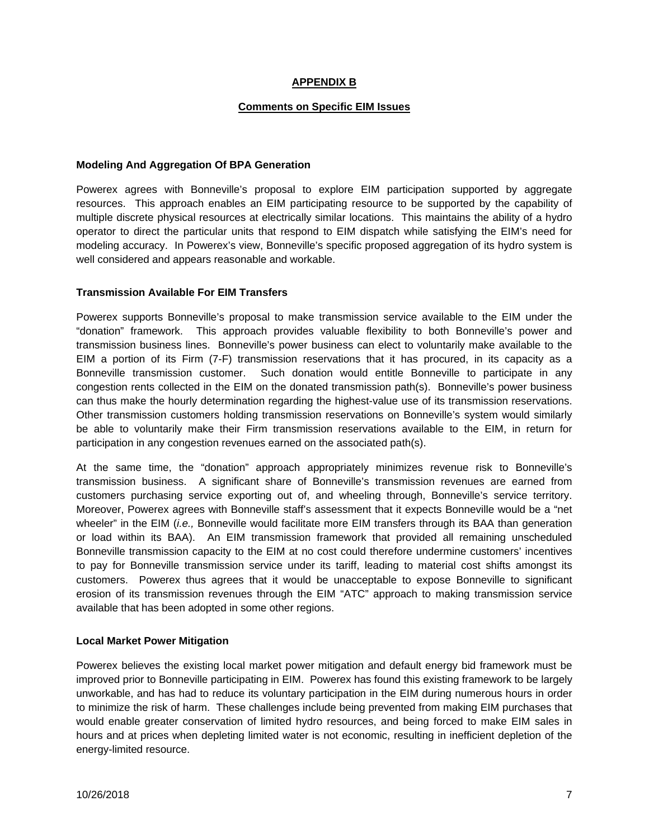## **APPENDIX B**

#### **Comments on Specific EIM Issues**

### **Modeling And Aggregation Of BPA Generation**

Powerex agrees with Bonneville's proposal to explore EIM participation supported by aggregate resources. This approach enables an EIM participating resource to be supported by the capability of multiple discrete physical resources at electrically similar locations. This maintains the ability of a hydro operator to direct the particular units that respond to EIM dispatch while satisfying the EIM's need for modeling accuracy. In Powerex's view, Bonneville's specific proposed aggregation of its hydro system is well considered and appears reasonable and workable.

### **Transmission Available For EIM Transfers**

Powerex supports Bonneville's proposal to make transmission service available to the EIM under the "donation" framework. This approach provides valuable flexibility to both Bonneville's power and transmission business lines. Bonneville's power business can elect to voluntarily make available to the EIM a portion of its Firm (7-F) transmission reservations that it has procured, in its capacity as a Bonneville transmission customer. Such donation would entitle Bonneville to participate in any congestion rents collected in the EIM on the donated transmission path(s). Bonneville's power business can thus make the hourly determination regarding the highest-value use of its transmission reservations. Other transmission customers holding transmission reservations on Bonneville's system would similarly be able to voluntarily make their Firm transmission reservations available to the EIM, in return for participation in any congestion revenues earned on the associated path(s).

At the same time, the "donation" approach appropriately minimizes revenue risk to Bonneville's transmission business. A significant share of Bonneville's transmission revenues are earned from customers purchasing service exporting out of, and wheeling through, Bonneville's service territory. Moreover, Powerex agrees with Bonneville staff's assessment that it expects Bonneville would be a "net wheeler" in the EIM (*i.e.*, Bonneville would facilitate more EIM transfers through its BAA than generation or load within its BAA). An EIM transmission framework that provided all remaining unscheduled Bonneville transmission capacity to the EIM at no cost could therefore undermine customers' incentives to pay for Bonneville transmission service under its tariff, leading to material cost shifts amongst its customers. Powerex thus agrees that it would be unacceptable to expose Bonneville to significant erosion of its transmission revenues through the EIM "ATC" approach to making transmission service available that has been adopted in some other regions.

#### **Local Market Power Mitigation**

Powerex believes the existing local market power mitigation and default energy bid framework must be improved prior to Bonneville participating in EIM. Powerex has found this existing framework to be largely unworkable, and has had to reduce its voluntary participation in the EIM during numerous hours in order to minimize the risk of harm. These challenges include being prevented from making EIM purchases that would enable greater conservation of limited hydro resources, and being forced to make EIM sales in hours and at prices when depleting limited water is not economic, resulting in inefficient depletion of the energy-limited resource.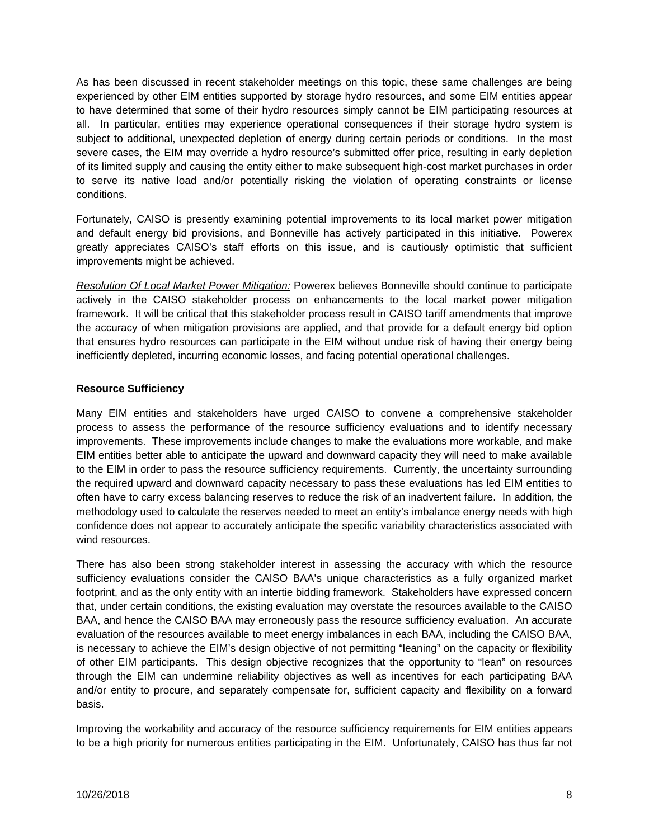As has been discussed in recent stakeholder meetings on this topic, these same challenges are being experienced by other EIM entities supported by storage hydro resources, and some EIM entities appear to have determined that some of their hydro resources simply cannot be EIM participating resources at all. In particular, entities may experience operational consequences if their storage hydro system is subject to additional, unexpected depletion of energy during certain periods or conditions. In the most severe cases, the EIM may override a hydro resource's submitted offer price, resulting in early depletion of its limited supply and causing the entity either to make subsequent high-cost market purchases in order to serve its native load and/or potentially risking the violation of operating constraints or license conditions.

Fortunately, CAISO is presently examining potential improvements to its local market power mitigation and default energy bid provisions, and Bonneville has actively participated in this initiative. Powerex greatly appreciates CAISO's staff efforts on this issue, and is cautiously optimistic that sufficient improvements might be achieved.

*Resolution Of Local Market Power Mitigation:* Powerex believes Bonneville should continue to participate actively in the CAISO stakeholder process on enhancements to the local market power mitigation framework. It will be critical that this stakeholder process result in CAISO tariff amendments that improve the accuracy of when mitigation provisions are applied, and that provide for a default energy bid option that ensures hydro resources can participate in the EIM without undue risk of having their energy being inefficiently depleted, incurring economic losses, and facing potential operational challenges.

## **Resource Sufficiency**

Many EIM entities and stakeholders have urged CAISO to convene a comprehensive stakeholder process to assess the performance of the resource sufficiency evaluations and to identify necessary improvements. These improvements include changes to make the evaluations more workable, and make EIM entities better able to anticipate the upward and downward capacity they will need to make available to the EIM in order to pass the resource sufficiency requirements. Currently, the uncertainty surrounding the required upward and downward capacity necessary to pass these evaluations has led EIM entities to often have to carry excess balancing reserves to reduce the risk of an inadvertent failure. In addition, the methodology used to calculate the reserves needed to meet an entity's imbalance energy needs with high confidence does not appear to accurately anticipate the specific variability characteristics associated with wind resources.

There has also been strong stakeholder interest in assessing the accuracy with which the resource sufficiency evaluations consider the CAISO BAA's unique characteristics as a fully organized market footprint, and as the only entity with an intertie bidding framework. Stakeholders have expressed concern that, under certain conditions, the existing evaluation may overstate the resources available to the CAISO BAA, and hence the CAISO BAA may erroneously pass the resource sufficiency evaluation. An accurate evaluation of the resources available to meet energy imbalances in each BAA, including the CAISO BAA, is necessary to achieve the EIM's design objective of not permitting "leaning" on the capacity or flexibility of other EIM participants. This design objective recognizes that the opportunity to "lean" on resources through the EIM can undermine reliability objectives as well as incentives for each participating BAA and/or entity to procure, and separately compensate for, sufficient capacity and flexibility on a forward basis.

Improving the workability and accuracy of the resource sufficiency requirements for EIM entities appears to be a high priority for numerous entities participating in the EIM. Unfortunately, CAISO has thus far not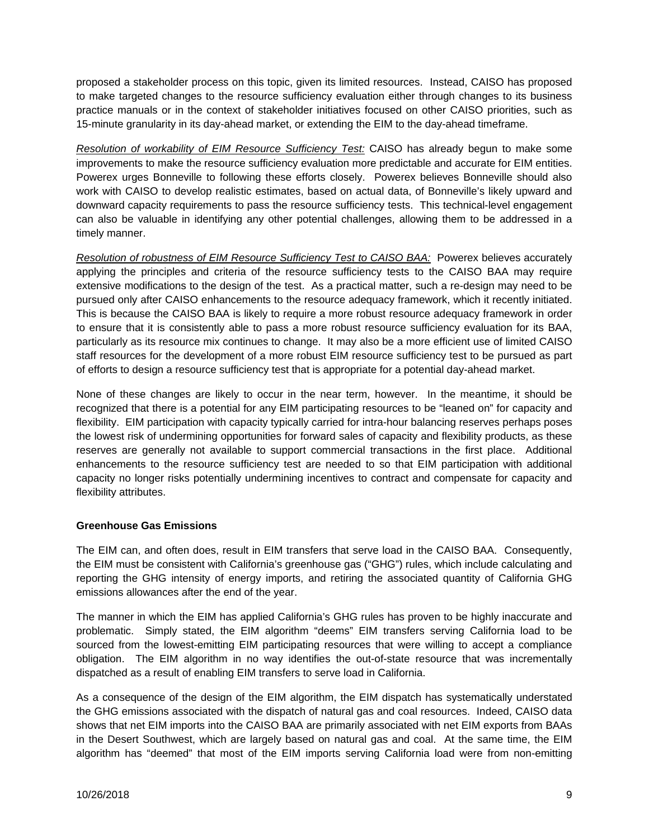proposed a stakeholder process on this topic, given its limited resources. Instead, CAISO has proposed to make targeted changes to the resource sufficiency evaluation either through changes to its business practice manuals or in the context of stakeholder initiatives focused on other CAISO priorities, such as 15-minute granularity in its day-ahead market, or extending the EIM to the day-ahead timeframe.

*Resolution of workability of EIM Resource Sufficiency Test:* CAISO has already begun to make some improvements to make the resource sufficiency evaluation more predictable and accurate for EIM entities. Powerex urges Bonneville to following these efforts closely. Powerex believes Bonneville should also work with CAISO to develop realistic estimates, based on actual data, of Bonneville's likely upward and downward capacity requirements to pass the resource sufficiency tests. This technical-level engagement can also be valuable in identifying any other potential challenges, allowing them to be addressed in a timely manner.

*Resolution of robustness of EIM Resource Sufficiency Test to CAISO BAA:* Powerex believes accurately applying the principles and criteria of the resource sufficiency tests to the CAISO BAA may require extensive modifications to the design of the test. As a practical matter, such a re-design may need to be pursued only after CAISO enhancements to the resource adequacy framework, which it recently initiated. This is because the CAISO BAA is likely to require a more robust resource adequacy framework in order to ensure that it is consistently able to pass a more robust resource sufficiency evaluation for its BAA, particularly as its resource mix continues to change. It may also be a more efficient use of limited CAISO staff resources for the development of a more robust EIM resource sufficiency test to be pursued as part of efforts to design a resource sufficiency test that is appropriate for a potential day-ahead market.

None of these changes are likely to occur in the near term, however. In the meantime, it should be recognized that there is a potential for any EIM participating resources to be "leaned on" for capacity and flexibility. EIM participation with capacity typically carried for intra-hour balancing reserves perhaps poses the lowest risk of undermining opportunities for forward sales of capacity and flexibility products, as these reserves are generally not available to support commercial transactions in the first place. Additional enhancements to the resource sufficiency test are needed to so that EIM participation with additional capacity no longer risks potentially undermining incentives to contract and compensate for capacity and flexibility attributes.

## **Greenhouse Gas Emissions**

The EIM can, and often does, result in EIM transfers that serve load in the CAISO BAA. Consequently, the EIM must be consistent with California's greenhouse gas ("GHG") rules, which include calculating and reporting the GHG intensity of energy imports, and retiring the associated quantity of California GHG emissions allowances after the end of the year.

The manner in which the EIM has applied California's GHG rules has proven to be highly inaccurate and problematic. Simply stated, the EIM algorithm "deems" EIM transfers serving California load to be sourced from the lowest-emitting EIM participating resources that were willing to accept a compliance obligation. The EIM algorithm in no way identifies the out-of-state resource that was incrementally dispatched as a result of enabling EIM transfers to serve load in California.

As a consequence of the design of the EIM algorithm, the EIM dispatch has systematically understated the GHG emissions associated with the dispatch of natural gas and coal resources. Indeed, CAISO data shows that net EIM imports into the CAISO BAA are primarily associated with net EIM exports from BAAs in the Desert Southwest, which are largely based on natural gas and coal. At the same time, the EIM algorithm has "deemed" that most of the EIM imports serving California load were from non-emitting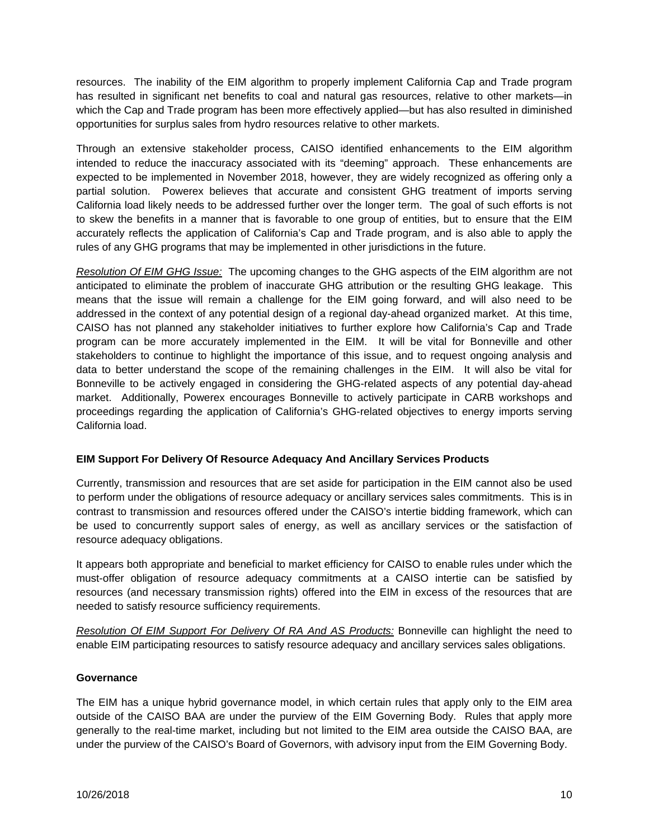resources. The inability of the EIM algorithm to properly implement California Cap and Trade program has resulted in significant net benefits to coal and natural gas resources, relative to other markets—in which the Cap and Trade program has been more effectively applied—but has also resulted in diminished opportunities for surplus sales from hydro resources relative to other markets.

Through an extensive stakeholder process, CAISO identified enhancements to the EIM algorithm intended to reduce the inaccuracy associated with its "deeming" approach. These enhancements are expected to be implemented in November 2018, however, they are widely recognized as offering only a partial solution. Powerex believes that accurate and consistent GHG treatment of imports serving California load likely needs to be addressed further over the longer term. The goal of such efforts is not to skew the benefits in a manner that is favorable to one group of entities, but to ensure that the EIM accurately reflects the application of California's Cap and Trade program, and is also able to apply the rules of any GHG programs that may be implemented in other jurisdictions in the future.

*Resolution Of EIM GHG Issue:* The upcoming changes to the GHG aspects of the EIM algorithm are not anticipated to eliminate the problem of inaccurate GHG attribution or the resulting GHG leakage. This means that the issue will remain a challenge for the EIM going forward, and will also need to be addressed in the context of any potential design of a regional day-ahead organized market. At this time, CAISO has not planned any stakeholder initiatives to further explore how California's Cap and Trade program can be more accurately implemented in the EIM. It will be vital for Bonneville and other stakeholders to continue to highlight the importance of this issue, and to request ongoing analysis and data to better understand the scope of the remaining challenges in the EIM. It will also be vital for Bonneville to be actively engaged in considering the GHG-related aspects of any potential day-ahead market. Additionally, Powerex encourages Bonneville to actively participate in CARB workshops and proceedings regarding the application of California's GHG-related objectives to energy imports serving California load.

## **EIM Support For Delivery Of Resource Adequacy And Ancillary Services Products**

Currently, transmission and resources that are set aside for participation in the EIM cannot also be used to perform under the obligations of resource adequacy or ancillary services sales commitments. This is in contrast to transmission and resources offered under the CAISO's intertie bidding framework, which can be used to concurrently support sales of energy, as well as ancillary services or the satisfaction of resource adequacy obligations.

It appears both appropriate and beneficial to market efficiency for CAISO to enable rules under which the must-offer obligation of resource adequacy commitments at a CAISO intertie can be satisfied by resources (and necessary transmission rights) offered into the EIM in excess of the resources that are needed to satisfy resource sufficiency requirements.

*Resolution Of EIM Support For Delivery Of RA And AS Products:* Bonneville can highlight the need to enable EIM participating resources to satisfy resource adequacy and ancillary services sales obligations.

## **Governance**

The EIM has a unique hybrid governance model, in which certain rules that apply only to the EIM area outside of the CAISO BAA are under the purview of the EIM Governing Body. Rules that apply more generally to the real-time market, including but not limited to the EIM area outside the CAISO BAA, are under the purview of the CAISO's Board of Governors, with advisory input from the EIM Governing Body.